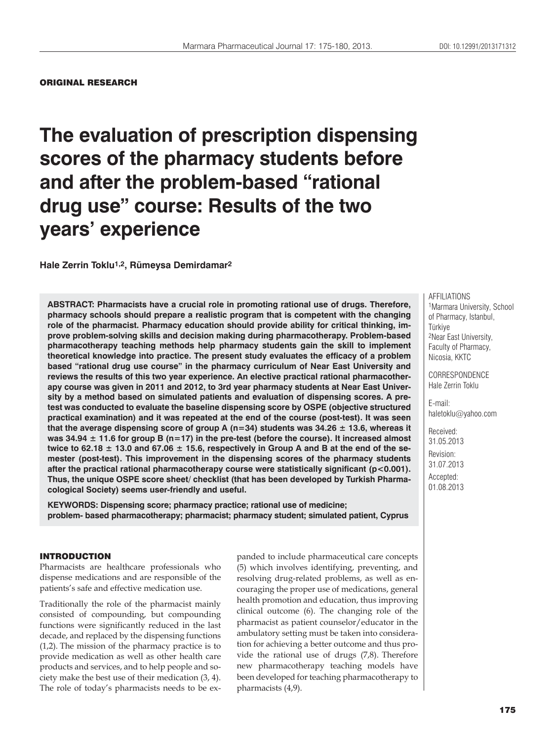#### ORIGINAL RESEARCH

## **The evaluation of prescription dispensing scores of the pharmacy students before and after the problem-based "rational drug use" course: Results of the two years' experience**

**Hale Zerrin Toklu1,2, Rümeysa Demirdamar2**

**ABSTRACT: Pharmacists have a crucial role in promoting rational use of drugs. Therefore, pharmacy schools should prepare a realistic program that is competent with the changing role of the pharmacist. Pharmacy education should provide ability for critical thinking, improve problem-solving skills and decision making during pharmacotherapy. Problem-based pharmacotherapy teaching methods help pharmacy students gain the skill to implement theoretical knowledge into practice. The present study evaluates the efficacy of a problem based "rational drug use course" in the pharmacy curriculum of Near East University and reviews the results of this two year experience. An elective practical rational pharmacotherapy course was given in 2011 and 2012, to 3rd year pharmacy students at Near East University by a method based on simulated patients and evaluation of dispensing scores. A pretest was conducted to evaluate the baseline dispensing score by OSPE (objective structured practical examination) and it was repeated at the end of the course (post-test). It was seen that the average dispensing score of group A (n=34) students was 34.26 ± 13.6, whereas it was 34.94 ± 11.6 for group B (n=17) in the pre-test (before the course). It increased almost**  twice to 62.18  $\pm$  13.0 and 67.06  $\pm$  15.6, respectively in Group A and B at the end of the se**mester (post-test). This improvement in the dispensing scores of the pharmacy students after the practical rational pharmacotherapy course were statistically significant (p<0.001). Thus, the unique OSPE score sheet/ checklist (that has been developed by Turkish Pharmacological Society) seems user-friendly and useful.**

**KEYWORDS: Dispensing score; pharmacy practice; rational use of medicine; problem- based pharmacotherapy; pharmacist; pharmacy student; simulated patient, Cyprus**

#### INTRODUCTION

Pharmacists are healthcare professionals who dispense medications and are responsible of the patients's safe and effective medication use.

Traditionally the role of the pharmacist mainly consisted of compounding, but compounding functions were significantly reduced in the last decade, and replaced by the dispensing functions (1,2). The mission of the pharmacy practice is to provide medication as well as other health care products and services, and to help people and society make the best use of their medication (3, 4). The role of today's pharmacists needs to be expanded to include pharmaceutical care concepts (5) which involves identifying, preventing, and resolving drug-related problems, as well as encouraging the proper use of medications, general health promotion and education, thus improving clinical outcome (6). The changing role of the pharmacist as patient counselor/educator in the ambulatory setting must be taken into consideration for achieving a better outcome and thus provide the rational use of drugs (7,8). Therefore new pharmacotherapy teaching models have been developed for teaching pharmacotherapy to pharmacists (4,9).

AFFILIATIONS 1Marmara University, School of Pharmacy, Istanbul, Türkiye 2Near East University, Faculty of Pharmacy, Nicosia, KKTC

CORRESPONDENCE Hale Zerrin Toklu

E-mail: haletoklu@yahoo.com

Received: 31.05.2013 Revision: 31.07.2013 Accepted: 01.08.2013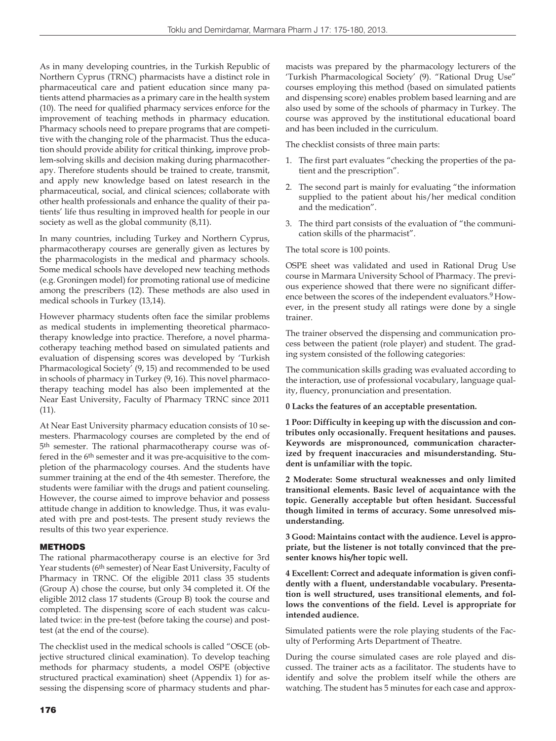As in many developing countries, in the Turkish Republic of Northern Cyprus (TRNC) pharmacists have a distinct role in pharmaceutical care and patient education since many patients attend pharmacies as a primary care in the health system (10). The need for qualified pharmacy services enforce for the improvement of teaching methods in pharmacy education. Pharmacy schools need to prepare programs that are competitive with the changing role of the pharmacist. Thus the education should provide ability for critical thinking, improve problem-solving skills and decision making during pharmacotherapy. Therefore students should be trained to create, transmit, and apply new knowledge based on latest research in the pharmaceutical, social, and clinical sciences; collaborate with other health professionals and enhance the quality of their patients' life thus resulting in improved health for people in our society as well as the global community (8,11).

In many countries, including Turkey and Northern Cyprus, pharmacotherapy courses are generally given as lectures by the pharmacologists in the medical and pharmacy schools. Some medical schools have developed new teaching methods (e.g. Groningen model) for promoting rational use of medicine among the prescribers (12). These methods are also used in medical schools in Turkey (13,14).

However pharmacy students often face the similar problems as medical students in implementing theoretical pharmacotherapy knowledge into practice. Therefore, a novel pharmacotherapy teaching method based on simulated patients and evaluation of dispensing scores was developed by 'Turkish Pharmacological Society' (9, 15) and recommended to be used in schools of pharmacy in Turkey (9, 16). This novel pharmacotherapy teaching model has also been implemented at the Near East University, Faculty of Pharmacy TRNC since 2011 (11).

At Near East University pharmacy education consists of 10 semesters. Pharmacology courses are completed by the end of 5th semester. The rational pharmacotherapy course was offered in the 6th semester and it was pre-acquisitive to the completion of the pharmacology courses. And the students have summer training at the end of the 4th semester. Therefore, the students were familiar with the drugs and patient counseling. However, the course aimed to improve behavior and possess attitude change in addition to knowledge. Thus, it was evaluated with pre and post-tests. The present study reviews the results of this two year experience.

#### METHODS

The rational pharmacotherapy course is an elective for 3rd Year students (6<sup>th</sup> semester) of Near East University, Faculty of Pharmacy in TRNC. Of the eligible 2011 class 35 students (Group A) chose the course, but only 34 completed it. Of the eligible 2012 class 17 students (Group B) took the course and completed. The dispensing score of each student was calculated twice: in the pre-test (before taking the course) and posttest (at the end of the course).

The checklist used in the medical schools is called "OSCE (objective structured clinical examination). To develop teaching methods for pharmacy students, a model OSPE (objective structured practical examination) sheet (Appendix 1) for assessing the dispensing score of pharmacy students and pharmacists was prepared by the pharmacology lecturers of the 'Turkish Pharmacological Society' (9). "Rational Drug Use" courses employing this method (based on simulated patients and dispensing score) enables problem based learning and are also used by some of the schools of pharmacy in Turkey. The course was approved by the institutional educational board and has been included in the curriculum.

The checklist consists of three main parts:

- 1. The first part evaluates "checking the properties of the patient and the prescription".
- 2. The second part is mainly for evaluating "the information supplied to the patient about his/her medical condition and the medication".
- 3. The third part consists of the evaluation of "the communication skills of the pharmacist".

The total score is 100 points.

OSPE sheet was validated and used in Rational Drug Use course in Marmara University School of Pharmacy. The previous experience showed that there were no significant difference between the scores of the independent evaluators.<sup>9</sup> However, in the present study all ratings were done by a single trainer.

The trainer observed the dispensing and communication process between the patient (role player) and student. The grading system consisted of the following categories:

The communication skills grading was evaluated according to the interaction, use of professional vocabulary, language quality, fluency, pronunciation and presentation.

**0 Lacks the features of an acceptable presentation.**

**1 Poor: Difficulty in keeping up with the discussion and contributes only occasionally. Frequent hesitations and pauses. Keywords are mispronounced, communication characterized by frequent inaccuracies and misunderstanding. Student is unfamiliar with the topic.**

**2 Moderate: Some structural weaknesses and only limited transitional elements. Basic level of acquaintance with the topic. Generally acceptable but often hesidant. Successful though limited in terms of accuracy. Some unresolved misunderstanding.** 

**3 Good: Maintains contact with the audience. Level is appropriate, but the listener is not totally convinced that the presenter knows his/her topic well.**

**4 Excellent: Correct and adequate information is given confidently with a fluent, understandable vocabulary. Presentation is well structured, uses transitional elements, and follows the conventions of the field. Level is appropriate for intended audience.**

Simulated patients were the role playing students of the Faculty of Performing Arts Department of Theatre.

During the course simulated cases are role played and discussed. The trainer acts as a facilitator. The students have to identify and solve the problem itself while the others are watching. The student has 5 minutes for each case and approx-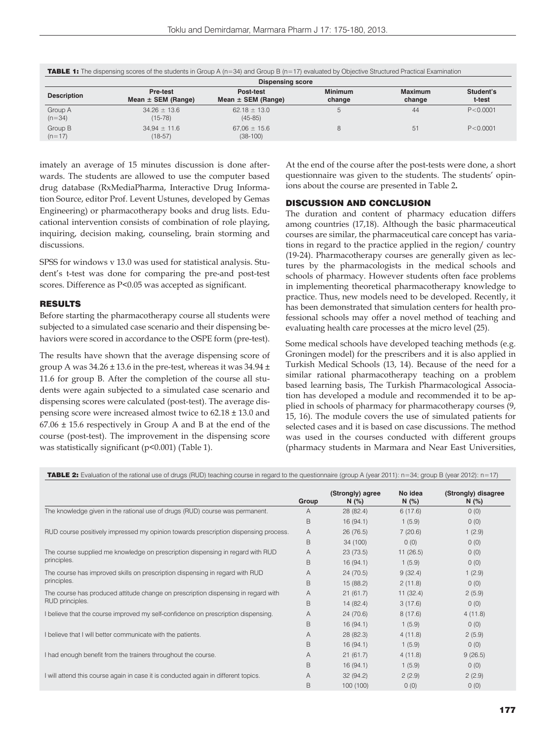| <b>TABLE 1:</b> The dispensing scores of the students in Group A ( $n=34$ ) and Group B ( $n=17$ ) evaluated by Objective Structured Practical Examination |                                    |                                     |                          |                   |                     |  |  |  |  |  |
|------------------------------------------------------------------------------------------------------------------------------------------------------------|------------------------------------|-------------------------------------|--------------------------|-------------------|---------------------|--|--|--|--|--|
| <b>Dispensing score</b>                                                                                                                                    |                                    |                                     |                          |                   |                     |  |  |  |  |  |
| <b>Description</b>                                                                                                                                         | Pre-test<br>Mean $\pm$ SEM (Range) | Post-test<br>Mean $\pm$ SEM (Range) | <b>Minimum</b><br>change | Maximum<br>change | Student's<br>t-test |  |  |  |  |  |
| Group A<br>$(n=34)$                                                                                                                                        | $34.26 \pm 13.6$<br>$(15 - 78)$    | $62.18 \pm 13.0$<br>$(45-85)$       |                          | 44                | P < 0.0001          |  |  |  |  |  |
| Group B<br>$(n=17)$                                                                                                                                        | $34.94 \pm 11.6$<br>$(18-57)$      | $67.06 \pm 15.6$<br>$(38-100)$      |                          | 51                | P < 0.0001          |  |  |  |  |  |

imately an average of 15 minutes discussion is done afterwards. The students are allowed to use the computer based drug database (RxMediaPharma, Interactive Drug Information Source, editor Prof. Levent Ustunes, developed by Gemas Engineering) or pharmacotherapy books and drug lists. Educational intervention consists of combination of role playing, inquiring, decision making, counseling, brain storming and discussions.

SPSS for windows v 13.0 was used for statistical analysis. Student's t-test was done for comparing the pre-and post-test scores. Difference as P<0.05 was accepted as significant.

#### RESULTS

Before starting the pharmacotherapy course all students were subjected to a simulated case scenario and their dispensing behaviors were scored in accordance to the OSPE form (pre-test).

The results have shown that the average dispensing score of group A was  $34.26 \pm 13.6$  in the pre-test, whereas it was  $34.94 \pm$ 11.6 for group B. After the completion of the course all students were again subjected to a simulated case scenario and dispensing scores were calculated (post-test). The average dispensing score were increased almost twice to 62.18 ± 13.0 and  $67.06 \pm 15.6$  respectively in Group A and B at the end of the course (post-test). The improvement in the dispensing score was statistically significant (p<0.001) (Table 1).

At the end of the course after the post-tests were done, a short questionnaire was given to the students. The students' opinions about the course are presented in Table 2**.**

#### DISCUSSION AND CONCLUSION

The duration and content of pharmacy education differs among countries (17,18). Although the basic pharmaceutical courses are similar, the pharmaceutical care concept has variations in regard to the practice applied in the region/ country (19-24). Pharmacotherapy courses are generally given as lectures by the pharmacologists in the medical schools and schools of pharmacy. However students often face problems in implementing theoretical pharmacotherapy knowledge to practice. Thus, new models need to be developed. Recently, it has been demonstrated that simulation centers for health professional schools may offer a novel method of teaching and evaluating health care processes at the micro level (25).

Some medical schools have developed teaching methods (e.g. Groningen model) for the prescribers and it is also applied in Turkish Medical Schools (13, 14). Because of the need for a similar rational pharmacotherapy teaching on a problem based learning basis, The Turkish Pharmacological Association has developed a module and recommended it to be applied in schools of pharmacy for pharmacotherapy courses (9, 15, 16). The module covers the use of simulated patients for selected cases and it is based on case discussions. The method was used in the courses conducted with different groups (pharmacy students in Marmara and Near East Universities,

TABLE 2: Evaluation of the rational use of drugs (RUD) teaching course in regard to the questionnaire (group A (year 2011): n=34; group B (year 2012): n=17)

|                                                                                     | Group | (Strongly) agree<br>N(%) | No idea<br>N(%) | (Strongly) disagree<br>N(% ) |
|-------------------------------------------------------------------------------------|-------|--------------------------|-----------------|------------------------------|
| The knowledge given in the rational use of drugs (RUD) course was permanent.        | A     | 28(82.4)                 | 6(17.6)         | 0(0)                         |
|                                                                                     | B     | 16(94.1)                 | 1(5.9)          | 0(0)                         |
| RUD course positively impressed my opinion towards prescription dispensing process. |       | 26(76.5)                 | 7(20.6)         | 1(2.9)                       |
|                                                                                     |       | 34 (100)                 | 0(0)            | 0(0)                         |
| The course supplied me knowledge on prescription dispensing in regard with RUD      | Α     | 23(73.5)                 | 11(26.5)        | 0(0)                         |
| principles.                                                                         | B     | 16(94.1)                 | 1(5.9)          | 0(0)                         |
| The course has improved skills on prescription dispensing in regard with RUD        | A     | 24(70.5)                 | 9(32.4)         | 1(2.9)                       |
| principles.                                                                         | B     | 15 (88.2)                | 2(11.8)         | 0(0)                         |
| The course has produced attitude change on prescription dispensing in regard with   | A     | 21(61.7)                 | 11(32.4)        | 2(5.9)                       |
| RUD principles.                                                                     |       | 14(82.4)                 | 3(17.6)         | 0(0)                         |
| I believe that the course improved my self-confidence on prescription dispensing.   | A     | 24(70.6)                 | 8(17.6)         | 4(11.8)                      |
|                                                                                     | B     | 16(94.1)                 | 1(5.9)          | 0(0)                         |
| I believe that I will better communicate with the patients.                         | A     | 28(82.3)                 | 4(11.8)         | 2(5.9)                       |
|                                                                                     | B     | 16(94.1)                 | 1(5.9)          | 0(0)                         |
| I had enough benefit from the trainers throughout the course.                       | A     | 21(61.7)                 | 4(11.8)         | 9(26.5)                      |
|                                                                                     | B     | 16(94.1)                 | 1(5.9)          | 0(0)                         |
| I will attend this course again in case it is conducted again in different topics.  | Α     | 32(94.2)                 | 2(2.9)          | 2(2.9)                       |
|                                                                                     | B     | 100 (100)                | 0(0)            | 0(0)                         |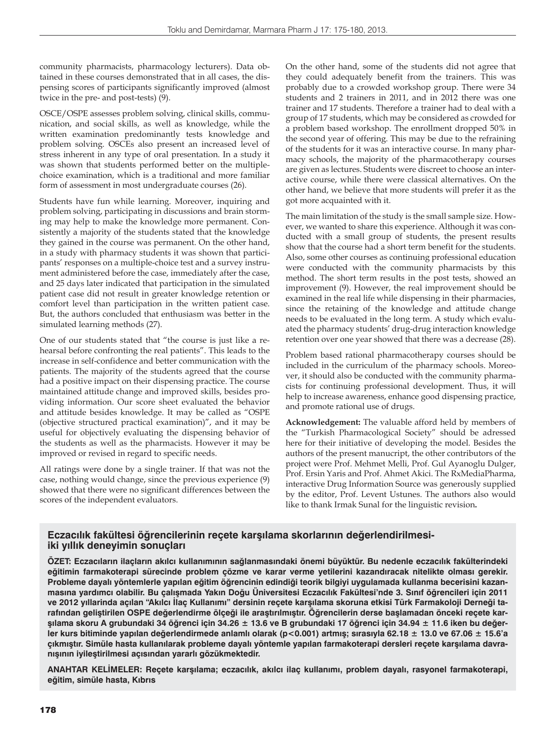community pharmacists, pharmacology lecturers). Data obtained in these courses demonstrated that in all cases, the dispensing scores of participants significantly improved (almost twice in the pre- and post-tests) (9).

OSCE/OSPE assesses problem solving, clinical skills, communication, and social skills, as well as knowledge, while the written examination predominantly tests knowledge and problem solving. OSCEs also present an increased level of stress inherent in any type of oral presentation. In a study it was shown that students performed better on the multiplechoice examination, which is a traditional and more familiar form of assessment in most undergraduate courses (26).

Students have fun while learning. Moreover, inquiring and problem solving, participating in discussions and brain storming may help to make the knowledge more permanent. Consistently a majority of the students stated that the knowledge they gained in the course was permanent. On the other hand, in a study with pharmacy students it was shown that participants' responses on a multiple-choice test and a survey instrument administered before the case, immediately after the case, and 25 days later indicated that participation in the simulated patient case did not result in greater knowledge retention or comfort level than participation in the written patient case. But, the authors concluded that enthusiasm was better in the simulated learning methods (27).

One of our students stated that "the course is just like a rehearsal before confronting the real patients". This leads to the increase in self-confidence and better communication with the patients. The majority of the students agreed that the course had a positive impact on their dispensing practice. The course maintained attitude change and improved skills, besides providing information. Our score sheet evaluated the behavior and attitude besides knowledge. It may be called as "OSPE (objective structured practical examination)", and it may be useful for objectively evaluating the dispensing behavior of the students as well as the pharmacists. However it may be improved or revised in regard to specific needs.

All ratings were done by a single trainer. If that was not the case, nothing would change, since the previous experience (9) showed that there were no significant differences between the scores of the independent evaluators.

On the other hand, some of the students did not agree that they could adequately benefit from the trainers. This was probably due to a crowded workshop group. There were 34 students and 2 trainers in 2011, and in 2012 there was one trainer and 17 students. Therefore a trainer had to deal with a group of 17 students, which may be considered as crowded for a problem based workshop. The enrollment dropped 50% in the second year of offering. This may be due to the refraining of the students for it was an interactive course. In many pharmacy schools, the majority of the pharmacotherapy courses are given as lectures. Students were discreet to choose an interactive course, while there were classical alternatives. On the other hand, we believe that more students will prefer it as the got more acquainted with it.

The main limitation of the study is the small sample size. However, we wanted to share this experience. Although it was conducted with a small group of students, the present results show that the course had a short term benefit for the students. Also, some other courses as continuing professional education were conducted with the community pharmacists by this method. The short term results in the post tests, showed an improvement (9). However, the real improvement should be examined in the real life while dispensing in their pharmacies, since the retaining of the knowledge and attitude change needs to be evaluated in the long term. A study which evaluated the pharmacy students' drug-drug interaction knowledge retention over one year showed that there was a decrease (28).

Problem based rational pharmacotherapy courses should be included in the curriculum of the pharmacy schools. Moreover, it should also be conducted with the community pharmacists for continuing professional development. Thus, it will help to increase awareness, enhance good dispensing practice, and promote rational use of drugs.

**Acknowledgement:** The valuable afford held by members of the "Turkish Pharmacological Society" should be adressed here for their initiative of developing the model. Besides the authors of the present manucript, the other contributors of the project were Prof. Mehmet Melli, Prof. Gul Ayanoglu Dulger, Prof. Ersin Yaris and Prof. Ahmet Akici. The RxMediaPharma, interactive Drug Information Source was generously supplied by the editor, Prof. Levent Ustunes. The authors also would like to thank Irmak Sunal for the linguistic revision**.**

### **Eczacılık fakültesi öğrencilerinin reçete karşılama skorlarının değerlendirilmesiiki yıllık deneyimin sonuçları**

**ÖZET: Eczacıların ilaçların akılcı kullanımının sağlanmasındaki önemi büyüktür. Bu nedenle eczacılık fakülterindeki eğitimin farmakoterapi sürecinde problem çözme ve karar verme yetilerini kazandıracak nitelikte olması gerekir. Probleme dayalı yöntemlerle yapılan eğitim öğrencinin edindiği teorik bilgiyi uygulamada kullanma becerisini kazanmasına yardımcı olabilir. Bu çalışmada Yakın Doğu Üniversitesi Eczacılık Fakültesi'nde 3. Sınıf öğrencileri için 2011 ve 2012 yıllarinda açılan "Akılcı İlaç Kullanımı" dersinin reçete karşılama skoruna etkisi Türk Farmakoloji Derneği tarafından geliştirilen OSPE değerlendirme ölçeği ile araştırılmıştır. Öğrencilerin derse başlamadan önceki reçete karşılama skoru A grubundaki 34 öğrenci için 34.26 ± 13.6 ve B grubundaki 17 öğrenci için 34.94 ± 11.6 iken bu değerler kurs bitiminde yapılan değerlendirmede anlamlı olarak (p<0.001) artmış; sırasıyla 62.18 ± 13.0 ve 67.06 ± 15.6'a çıkmıştır. Simüle hasta kullanılarak probleme dayalı yöntemle yapılan farmakoterapi dersleri reçete karşılama davranışının iyileştirilmesi açısından yararlı gözükmektedir.** 

**ANAHTAR KELİMELER: Reçete karşılama; eczacılık, akılcı ilaç kullanımı, problem dayalı, rasyonel farmakoterapi, eğitim, simüle hasta, Kıbrıs**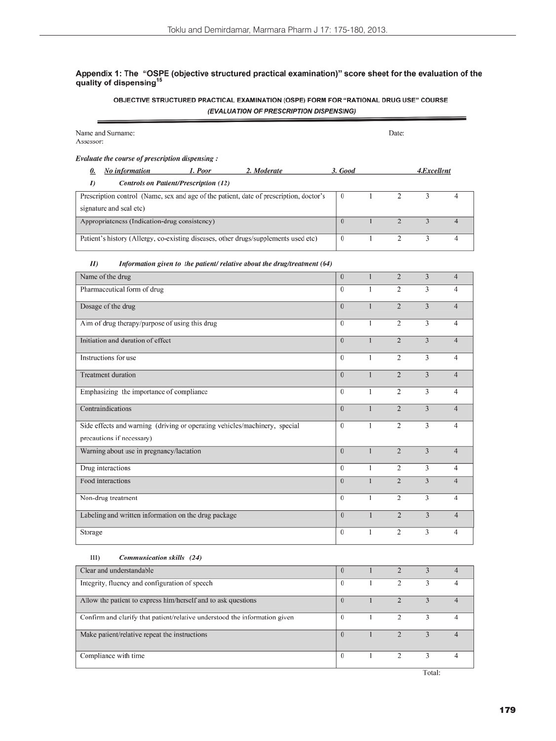# Appendix 1: The "OSPE (objective structured practical examination)" score sheet for the evaluation of the quality of dispensing<sup>15</sup>

#### OBJECTIVE STRUCTURED PRACTICAL EXAMINATION (OSPE) FORM FOR "RATIONAL DRUG USE" COURSE (EVALUATION OF PRESCRIPTION DISPENSING)

| Name and Surname:<br>Assessor:                                                         |                |              | Date:          |                |                |
|----------------------------------------------------------------------------------------|----------------|--------------|----------------|----------------|----------------|
| Evaluate the course of prescription dispensing:                                        |                |              |                |                |                |
| No information<br>1. Poor<br>2. Moderate<br>0.                                         | 3. Good        |              |                | 4.Excellent    |                |
| <b>Controls on Patient/Prescription (12)</b><br>I)                                     |                |              |                |                |                |
| Prescription control (Name, sex and age of the patient, date of prescription, doctor's | $\theta$       | 1            | 2              | 3              | 4              |
| signature and seal etc)                                                                |                |              |                |                |                |
| Appropriateness (Indication-drug consistency)                                          | $\overline{0}$ | $\mathbf{I}$ | $\overline{2}$ | 3              | $\overline{4}$ |
| Patient's history (Allergy, co-existing diseases, other drugs/supplements used etc)    | $\bf{0}$       | 1            | 2              | 3              | 4              |
| $I\!I$<br>Information given to the patient/relative about the drug/treatment (64)      |                |              |                |                |                |
| Name of the drug                                                                       | $\mathbf{0}$   | $\mathbf{1}$ | $\overline{c}$ | 3              | $\overline{4}$ |
| Pharmaceutical form of drug                                                            | $\bf{0}$       | $\mathbf{1}$ | 2              | 3              | $\overline{4}$ |
| Dosage of the drug                                                                     | $\theta$       | $\mathbf{1}$ | $\overline{2}$ | 3              | $\overline{4}$ |
| Aim of drug therapy/purpose of using this drug                                         | $\theta$       | $\mathbf{I}$ | $\overline{c}$ | 3              | $\overline{4}$ |
| Initiation and duration of effect                                                      | $\mathbf{0}$   | $\mathbf{1}$ | $\overline{c}$ | $\overline{3}$ | $\overline{4}$ |
| Instructions for use                                                                   | $\bf{0}$       | 1            | $\overline{c}$ | 3              | $\overline{4}$ |
| <b>Treatment duration</b>                                                              | $\overline{0}$ | $\mathbf{1}$ | $\overline{2}$ | $\overline{3}$ | $\overline{4}$ |
| Emphasizing the importance of compliance                                               | $\theta$       | $\mathbf{1}$ | $\overline{c}$ | 3              | $\overline{4}$ |
| Contraindications                                                                      | $\theta$       | $\mathbf{1}$ | $\overline{2}$ | 3              | $\overline{4}$ |
| Side effects and warning (driving or operating vehicles/machinery, special             | $\Omega$       | $\mathbf{1}$ | 2              | 3              | $\overline{4}$ |
| precautions if necessary)                                                              |                |              |                |                |                |
| Warning about use in pregnancy/lactation                                               | $\Omega$       | $\mathbf{1}$ | $\overline{2}$ | 3              | $\overline{4}$ |
| Drug interactions                                                                      | $\bf{0}$       | $\mathbf{I}$ | 2              | 3              | 4              |
| Food interactions                                                                      | $\overline{0}$ | $\mathbf{1}$ | $\overline{2}$ | 3              | $\overline{4}$ |
| Non-drug treatment                                                                     | $\theta$       | 1            | 2              | 3              | 4              |
| Labeling and written information on the drug package                                   | $\overline{0}$ | $\mathbf{1}$ | $\overline{2}$ | 3              | $\overline{4}$ |
| Storage                                                                                | 0              | 1            | $\overline{2}$ | 3              | 4              |
| $III$ )<br>Communication skills (24)                                                   |                |              |                |                |                |
| Clear and understandable                                                               | $\overline{0}$ | $\mathbf{1}$ | $\overline{2}$ | $\overline{3}$ | $\overline{4}$ |
| Integrity, fluency and configuration of speech                                         | $\bf{0}$       | 1            | 2              | 3              | 4              |
| Allow the patient to express him/herself and to ask questions                          |                | $\mathbf{1}$ | $\overline{2}$ | $\overline{3}$ | $\overline{4}$ |
| Confirm and clarify that patient/relative understood the information given             |                | 1            | $\overline{2}$ | 3              | 4              |
| Make patient/relative repeat the instructions                                          | $\overline{0}$ | $\mathbf{I}$ | $\overline{2}$ | $\overline{3}$ | $\overline{4}$ |

Compliance with time

Total:

3

 $\overline{2}$ 

 $\mathbf{I}$ 

 $\overline{4}$ 

 $\overline{0}$